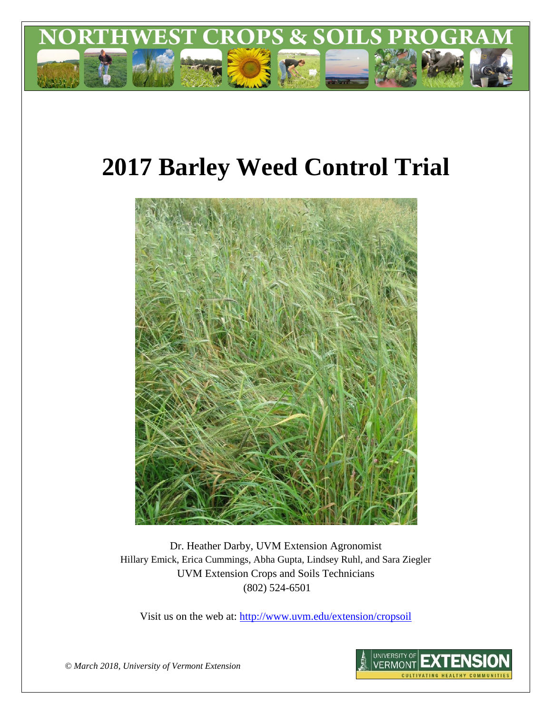

# **2017 Barley Weed Control Trial**



Dr. Heather Darby, UVM Extension Agronomist Hillary Emick, Erica Cummings, Abha Gupta, Lindsey Ruhl, and Sara Ziegler UVM Extension Crops and Soils Technicians (802) 524-6501

Visit us on the web at: <http://www.uvm.edu/extension/cropsoil>



*© March 2018, University of Vermont Extension*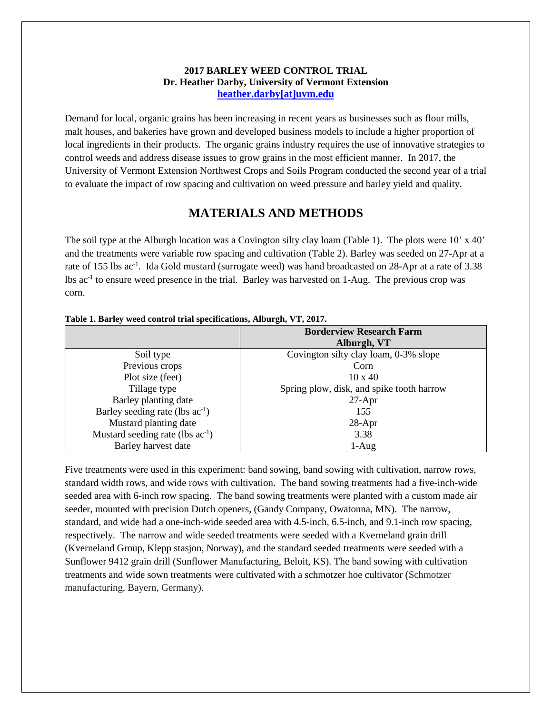## **2017 BARLEY WEED CONTROL TRIAL Dr. Heather Darby, University of Vermont Extension [heather.darby\[at\]uvm.edu](mailto:heather.darby@uvm.edu?subject=2012%20Short%20Season%20Corn%20Report)**

Demand for local, organic grains has been increasing in recent years as businesses such as flour mills, malt houses, and bakeries have grown and developed business models to include a higher proportion of local ingredients in their products. The organic grains industry requires the use of innovative strategies to control weeds and address disease issues to grow grains in the most efficient manner. In 2017, the University of Vermont Extension Northwest Crops and Soils Program conducted the second year of a trial to evaluate the impact of row spacing and cultivation on weed pressure and barley yield and quality.

## **MATERIALS AND METHODS**

The soil type at the Alburgh location was a Covington silty clay loam (Table 1). The plots were  $10'$  x  $40'$ and the treatments were variable row spacing and cultivation (Table 2). Barley was seeded on 27-Apr at a rate of 155 lbs ac<sup>-1</sup>. Ida Gold mustard (surrogate weed) was hand broadcasted on 28-Apr at a rate of 3.38 lbs ac<sup>-1</sup> to ensure weed presence in the trial. Barley was harvested on 1-Aug. The previous crop was corn.

| Tubic 1. Durity weed control trial specifications, infour $\epsilon$ n, y 1, 2017. |                                           |  |
|------------------------------------------------------------------------------------|-------------------------------------------|--|
|                                                                                    | <b>Borderview Research Farm</b>           |  |
|                                                                                    | Alburgh, VT                               |  |
| Soil type                                                                          | Covington silty clay loam, 0-3% slope     |  |
| Previous crops                                                                     | Corn                                      |  |
| Plot size (feet)                                                                   | $10 \times 40$                            |  |
| Tillage type                                                                       | Spring plow, disk, and spike tooth harrow |  |
| Barley planting date                                                               | $27-Apr$                                  |  |
| Barley seeding rate (lbs ac <sup>-1</sup> )                                        | 155                                       |  |
| Mustard planting date                                                              | $28-Apr$                                  |  |
| Mustard seeding rate (lbs $ac^{-1}$ )                                              | 3.38                                      |  |
| Barley harvest date                                                                | $1-Aug$                                   |  |

|  | Table 1. Barley weed control trial specifications, Alburgh, VT, 2017. |  |  |
|--|-----------------------------------------------------------------------|--|--|
|  |                                                                       |  |  |

Five treatments were used in this experiment: band sowing, band sowing with cultivation, narrow rows, standard width rows, and wide rows with cultivation. The band sowing treatments had a five-inch-wide seeded area with 6-inch row spacing. The band sowing treatments were planted with a custom made air seeder, mounted with precision Dutch openers, (Gandy Company, Owatonna, MN). The narrow, standard, and wide had a one-inch-wide seeded area with 4.5-inch, 6.5-inch, and 9.1-inch row spacing, respectively. The narrow and wide seeded treatments were seeded with a Kverneland grain drill (Kverneland Group, Klepp stasjon, Norway), and the standard seeded treatments were seeded with a Sunflower 9412 grain drill (Sunflower Manufacturing, Beloit, KS). The band sowing with cultivation treatments and wide sown treatments were cultivated with a schmotzer hoe cultivator (Schmotzer manufacturing, Bayern, Germany).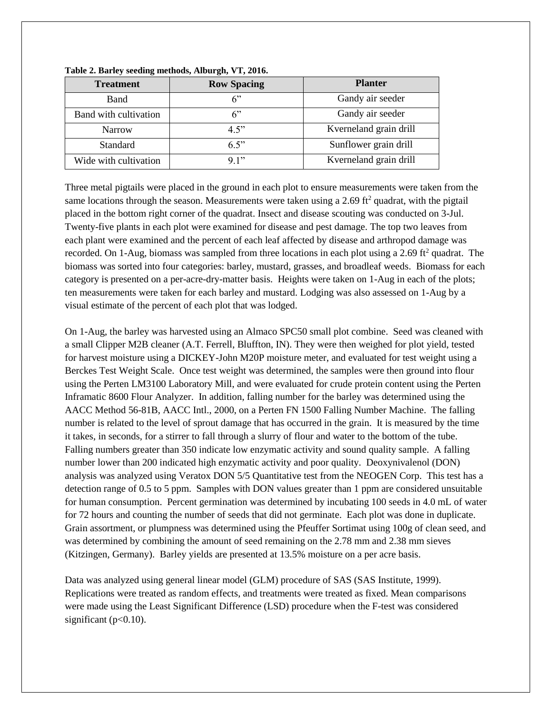| <b>Treatment</b>      | <b>Row Spacing</b> | <b>Planter</b>         |
|-----------------------|--------------------|------------------------|
| <b>B</b> and          | 6"                 | Gandy air seeder       |
| Band with cultivation | 6"                 | Gandy air seeder       |
| <b>Narrow</b>         | 4.5"               | Kverneland grain drill |
| <b>Standard</b>       | 6.5"               | Sunflower grain drill  |
| Wide with cultivation | 9.1"               | Kverneland grain drill |

#### **Table 2. Barley seeding methods, Alburgh, VT, 2016.**

Three metal pigtails were placed in the ground in each plot to ensure measurements were taken from the same locations through the season. Measurements were taken using a 2.69 ft<sup>2</sup> quadrat, with the pigtail placed in the bottom right corner of the quadrat. Insect and disease scouting was conducted on 3-Jul. Twenty-five plants in each plot were examined for disease and pest damage. The top two leaves from each plant were examined and the percent of each leaf affected by disease and arthropod damage was recorded. On 1-Aug, biomass was sampled from three locations in each plot using a 2.69 ft<sup>2</sup> quadrat. The biomass was sorted into four categories: barley, mustard, grasses, and broadleaf weeds. Biomass for each category is presented on a per-acre-dry-matter basis. Heights were taken on 1-Aug in each of the plots; ten measurements were taken for each barley and mustard. Lodging was also assessed on 1-Aug by a visual estimate of the percent of each plot that was lodged.

On 1-Aug, the barley was harvested using an Almaco SPC50 small plot combine. Seed was cleaned with a small Clipper M2B cleaner (A.T. Ferrell, Bluffton, IN). They were then weighed for plot yield, tested for harvest moisture using a DICKEY-John M20P moisture meter, and evaluated for test weight using a Berckes Test Weight Scale. Once test weight was determined, the samples were then ground into flour using the Perten LM3100 Laboratory Mill, and were evaluated for crude protein content using the Perten Inframatic 8600 Flour Analyzer. In addition, falling number for the barley was determined using the AACC Method 56-81B, AACC Intl., 2000, on a Perten FN 1500 Falling Number Machine. The falling number is related to the level of sprout damage that has occurred in the grain. It is measured by the time it takes, in seconds, for a stirrer to fall through a slurry of flour and water to the bottom of the tube. Falling numbers greater than 350 indicate low enzymatic activity and sound quality sample. A falling number lower than 200 indicated high enzymatic activity and poor quality. Deoxynivalenol (DON) analysis was analyzed using Veratox DON 5/5 Quantitative test from the NEOGEN Corp. This test has a detection range of 0.5 to 5 ppm. Samples with DON values greater than 1 ppm are considered unsuitable for human consumption. Percent germination was determined by incubating 100 seeds in 4.0 mL of water for 72 hours and counting the number of seeds that did not germinate. Each plot was done in duplicate. Grain assortment, or plumpness was determined using the Pfeuffer Sortimat using 100g of clean seed, and was determined by combining the amount of seed remaining on the 2.78 mm and 2.38 mm sieves (Kitzingen, Germany). Barley yields are presented at 13.5% moisture on a per acre basis.

Data was analyzed using general linear model (GLM) procedure of SAS (SAS Institute, 1999). Replications were treated as random effects, and treatments were treated as fixed. Mean comparisons were made using the Least Significant Difference (LSD) procedure when the F-test was considered significant ( $p<0.10$ ).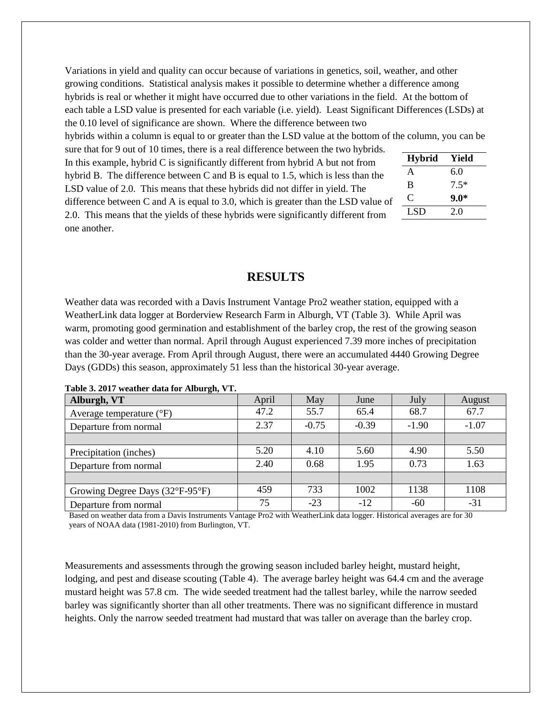Variations in yield and quality can occur because of variations in genetics, soil, weather, and other growing conditions. Statistical analysis makes it possible to determine whether a difference among hybrids is real or whether it might have occurred due to other variations in the field. At the bottom of each table a LSD value is presented for each variable (i.e. yield). Least Significant Differences (LSDs) at the 0.10 level of significance are shown. Where the difference between two

hybrids within a column is equal to or greater than the LSD value at the bottom of the column, you can be

sure that for 9 out of 10 times, there is a real difference between the two hybrids. In this example, hybrid  $C$  is significantly different from hybrid  $A$  but not from hybrid B. The difference between C and B is equal to 1.5, which is less than the LSD value of 2.0. This means that these hybrids did not differ in yield. The difference between C and A is equal to 3.0, which is greater than the LSD value of 2.0. This means that the yields of these hybrids were significantly different from one another.

| <b>Hybrid</b> | Yield  |
|---------------|--------|
| A             | 6.0    |
| B             | $7.5*$ |
| €             | $9.0*$ |
| LSD           | 20     |
|               |        |

## **RESULTS**

Weather data was recorded with a Davis Instrument Vantage Pro2 weather station, equipped with a WeatherLink data logger at Borderview Research Farm in Alburgh, VT (Table 3). While April was warm, promoting good germination and establishment of the barley crop, the rest of the growing season was colder and wetter than normal. April through August experienced 7.39 more inches of precipitation than the 30-year average. From April through August, there were an accumulated 4440 Growing Degree Days (GDDs) this season, approximately 51 less than the historical 30-year average.

| $\sigma$ ,<br>Alburgh, VT           | April | May     | June    | July    | August  |
|-------------------------------------|-------|---------|---------|---------|---------|
| Average temperature $({}^{\circ}F)$ | 47.2  | 55.7    | 65.4    | 68.7    | 67.7    |
| Departure from normal               | 2.37  | $-0.75$ | $-0.39$ | $-1.90$ | $-1.07$ |
|                                     |       |         |         |         |         |
| Precipitation (inches)              | 5.20  | 4.10    | 5.60    | 4.90    | 5.50    |
| Departure from normal               | 2.40  | 0.68    | 1.95    | 0.73    | 1.63    |
|                                     |       |         |         |         |         |
| Growing Degree Days (32°F-95°F)     | 459   | 733     | 1002    | 1138    | 1108    |
| Departure from normal               | 75    | $-23$   | $-12$   | $-60$   | $-31$   |

**Table 3. 2017 weather data for Alburgh, VT.**

Based on weather data from a Davis Instruments Vantage Pro2 with WeatherLink data logger. Historical averages are for 30 years of NOAA data (1981-2010) from Burlington, VT.

Measurements and assessments through the growing season included barley height, mustard height, lodging, and pest and disease scouting (Table 4). The average barley height was 64.4 cm and the average mustard height was 57.8 cm. The wide seeded treatment had the tallest barley, while the narrow seeded barley was significantly shorter than all other treatments. There was no significant difference in mustard heights. Only the narrow seeded treatment had mustard that was taller on average than the barley crop.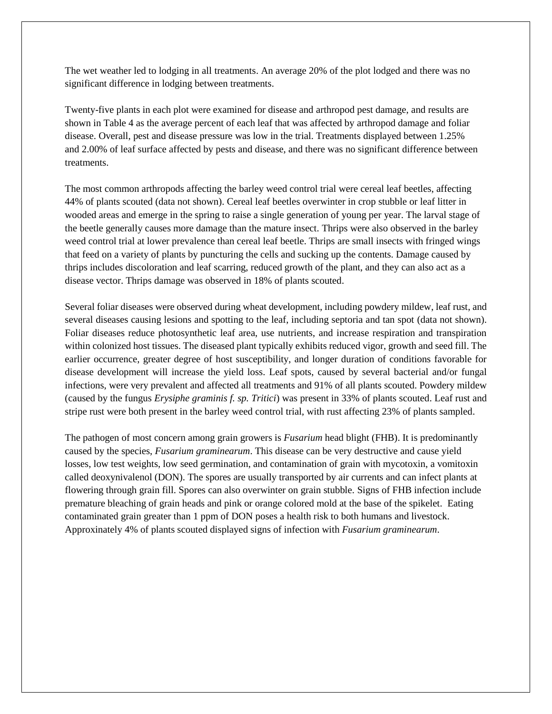The wet weather led to lodging in all treatments. An average 20% of the plot lodged and there was no significant difference in lodging between treatments.

Twenty-five plants in each plot were examined for disease and arthropod pest damage, and results are shown in Table 4 as the average percent of each leaf that was affected by arthropod damage and foliar disease. Overall, pest and disease pressure was low in the trial. Treatments displayed between 1.25% and 2.00% of leaf surface affected by pests and disease, and there was no significant difference between treatments.

The most common arthropods affecting the barley weed control trial were cereal leaf beetles, affecting 44% of plants scouted (data not shown). Cereal leaf beetles overwinter in crop stubble or leaf litter in wooded areas and emerge in the spring to raise a single generation of young per year. The larval stage of the beetle generally causes more damage than the mature insect. Thrips were also observed in the barley weed control trial at lower prevalence than cereal leaf beetle. Thrips are small insects with fringed wings that feed on a variety of plants by puncturing the cells and sucking up the contents. Damage caused by thrips includes discoloration and leaf scarring, reduced growth of the plant, and they can also act as a disease vector. Thrips damage was observed in 18% of plants scouted.

Several foliar diseases were observed during wheat development, including powdery mildew, leaf rust, and several diseases causing lesions and spotting to the leaf, including septoria and tan spot (data not shown). Foliar diseases reduce photosynthetic leaf area, use nutrients, and increase respiration and transpiration within colonized host tissues. The diseased plant typically exhibits reduced vigor, growth and seed fill. The earlier occurrence, greater degree of host susceptibility, and longer duration of conditions favorable for disease development will increase the yield loss. Leaf spots, caused by several bacterial and/or fungal infections, were very prevalent and affected all treatments and 91% of all plants scouted. Powdery mildew (caused by the fungus *Erysiphe graminis f. sp. Tritici*) was present in 33% of plants scouted. Leaf rust and stripe rust were both present in the barley weed control trial, with rust affecting 23% of plants sampled.

The pathogen of most concern among grain growers is *Fusarium* head blight (FHB). It is predominantly caused by the species, *Fusarium graminearum*. This disease can be very destructive and cause yield losses, low test weights, low seed germination, and contamination of grain with mycotoxin, a vomitoxin called deoxynivalenol (DON). The spores are usually transported by air currents and can infect plants at flowering through grain fill. Spores can also overwinter on grain stubble. Signs of FHB infection include premature bleaching of grain heads and pink or orange colored mold at the base of the spikelet. Eating contaminated grain greater than 1 ppm of DON poses a health risk to both humans and livestock. Approxinately 4% of plants scouted displayed signs of infection with *Fusarium graminearum*.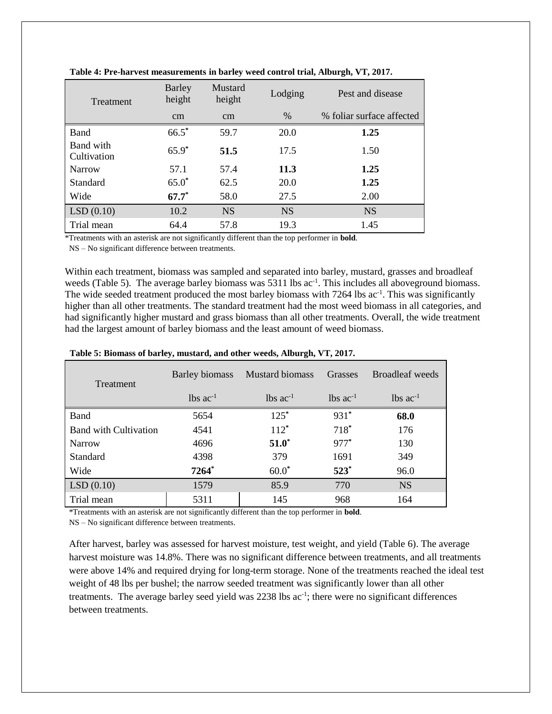| Treatment                | <b>Barley</b><br>height | Mustard<br>height | Lodging       | Pest and disease          |
|--------------------------|-------------------------|-------------------|---------------|---------------------------|
|                          | <sub>cm</sub>           | <sub>cm</sub>     | $\frac{0}{0}$ | % foliar surface affected |
| <b>Band</b>              | $66.5*$                 | 59.7              | 20.0          | 1.25                      |
| Band with<br>Cultivation | $65.9*$                 | 51.5              | 17.5          | 1.50                      |
| Narrow                   | 57.1                    | 57.4              | 11.3          | 1.25                      |
| Standard                 | $65.0*$                 | 62.5              | 20.0          | 1.25                      |
| Wide                     | $67.7*$                 | 58.0              | 27.5          | 2.00                      |
| LSD(0.10)                | 10.2                    | <b>NS</b>         | <b>NS</b>     | <b>NS</b>                 |
| Trial mean               | 64.4                    | 57.8              | 19.3          | 1.45                      |

**Table 4: Pre-harvest measurements in barley weed control trial, Alburgh, VT, 2017.**

\*Treatments with an asterisk are not significantly different than the top performer in **bold**.

NS – No significant difference between treatments.

Within each treatment, biomass was sampled and separated into barley, mustard, grasses and broadleaf weeds (Table 5). The average barley biomass was 5311 lbs ac<sup>-1</sup>. This includes all aboveground biomass. The wide seeded treatment produced the most barley biomass with 7264 lbs ac<sup>-1</sup>. This was significantly higher than all other treatments. The standard treatment had the most weed biomass in all categories, and had significantly higher mustard and grass biomass than all other treatments. Overall, the wide treatment had the largest amount of barley biomass and the least amount of weed biomass.

| Treatment                    | Barley biomass         | <b>Mustard biomass</b><br>Grasses |                        | Broadleaf weeds        |
|------------------------------|------------------------|-----------------------------------|------------------------|------------------------|
|                              | $lbs$ ac <sup>-1</sup> | $lbs$ $ac^{-1}$                   | $lbs$ ac <sup>-1</sup> | $lbs$ ac <sup>-1</sup> |
| Band                         | 5654                   | $125*$                            | $931*$                 | 68.0                   |
| <b>Band with Cultivation</b> | 4541                   | $112*$                            | $718*$                 | 176                    |
| <b>Narrow</b>                | 4696                   | $51.0^*$                          | 977*                   | 130                    |
| <b>Standard</b>              | 4398                   | 379                               | 1691                   | 349                    |
| Wide                         | $7264*$                | $60.0*$                           | $523*$                 | 96.0                   |
| LSD(0.10)                    | 1579                   | 85.9                              | 770                    | <b>NS</b>              |
| Trial mean                   | 5311                   | 145                               | 968                    | 164                    |

#### **Table 5: Biomass of barley, mustard, and other weeds, Alburgh, VT, 2017.**

\*Treatments with an asterisk are not significantly different than the top performer in **bold**.

NS – No significant difference between treatments.

After harvest, barley was assessed for harvest moisture, test weight, and yield (Table 6). The average harvest moisture was 14.8%. There was no significant difference between treatments, and all treatments were above 14% and required drying for long-term storage. None of the treatments reached the ideal test weight of 48 lbs per bushel; the narrow seeded treatment was significantly lower than all other treatments. The average barley seed yield was 2238 lbs ac<sup>-1</sup>; there were no significant differences between treatments.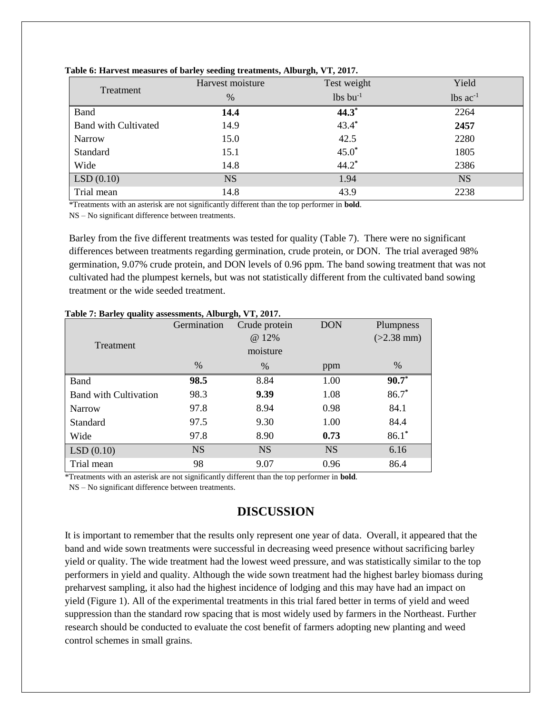|                             | Harvest moisture | Test weight      | Yield                  |  |
|-----------------------------|------------------|------------------|------------------------|--|
| Treatment                   | %                | $lbs$ bu $^{-1}$ | $lbs$ ac <sup>-1</sup> |  |
| <b>Band</b>                 | 14.4             | $44.3*$          | 2264                   |  |
| <b>Band with Cultivated</b> | 14.9             | $43.4*$          | 2457                   |  |
| <b>Narrow</b>               | 15.0             | 42.5             | 2280                   |  |
| Standard                    | 15.1             | $45.0*$          | 1805                   |  |
| Wide                        | 14.8             | $44.2*$          | 2386                   |  |
| LSD(0.10)                   | <b>NS</b>        | 1.94             | <b>NS</b>              |  |
| Trial mean                  | 14.8             | 43.9             | 2238                   |  |

**Table 6: Harvest measures of barley seeding treatments, Alburgh, VT, 2017.**

\*Treatments with an asterisk are not significantly different than the top performer in **bold**.

NS – No significant difference between treatments.

Barley from the five different treatments was tested for quality (Table 7). There were no significant differences between treatments regarding germination, crude protein, or DON. The trial averaged 98% germination, 9.07% crude protein, and DON levels of 0.96 ppm. The band sowing treatment that was not cultivated had the plumpest kernels, but was not statistically different from the cultivated band sowing treatment or the wide seeded treatment.

|                              | Germination | Crude protein | <b>DON</b> | Plumpness    |
|------------------------------|-------------|---------------|------------|--------------|
|                              | @ 12%       |               |            | $(>2.38$ mm) |
| Treatment                    |             | moisture      |            |              |
|                              | $\%$        | %             | ppm        | $\%$         |
| Band                         | 98.5        | 8.84          | 1.00       | $90.7*$      |
| <b>Band with Cultivation</b> | 98.3        | 9.39          | 1.08       | $86.7*$      |
| Narrow                       | 97.8        | 8.94          | 0.98       | 84.1         |
| Standard                     | 97.5        | 9.30          | 1.00       | 84.4         |
| Wide                         | 97.8        | 8.90          | 0.73       | $86.1*$      |
| LSD(0.10)                    | <b>NS</b>   | <b>NS</b>     | <b>NS</b>  | 6.16         |
| Trial mean                   | 98          | 9.07          | 0.96       | 86.4         |

### **Table 7: Barley quality assessments, Alburgh, VT, 2017.**

\*Treatments with an asterisk are not significantly different than the top performer in **bold**.

NS – No significant difference between treatments.

# **DISCUSSION**

It is important to remember that the results only represent one year of data. Overall, it appeared that the band and wide sown treatments were successful in decreasing weed presence without sacrificing barley yield or quality. The wide treatment had the lowest weed pressure, and was statistically similar to the top performers in yield and quality. Although the wide sown treatment had the highest barley biomass during preharvest sampling, it also had the highest incidence of lodging and this may have had an impact on yield (Figure 1). All of the experimental treatments in this trial fared better in terms of yield and weed suppression than the standard row spacing that is most widely used by farmers in the Northeast. Further research should be conducted to evaluate the cost benefit of farmers adopting new planting and weed control schemes in small grains.